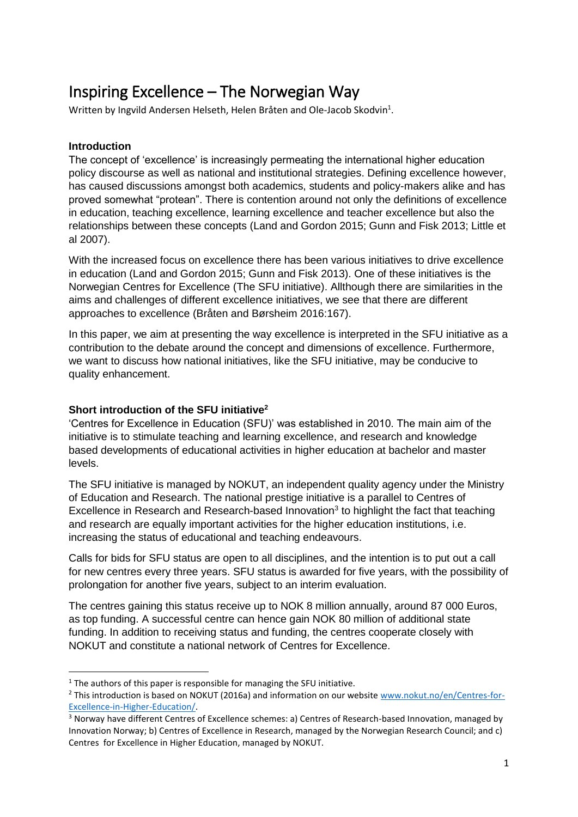# Inspiring Excellence – The Norwegian Way

Written by Ingvild Andersen Helseth, Helen Bråten and Ole-Jacob Skodvin<sup>1</sup>.

## **Introduction**

**.** 

The concept of 'excellence' is increasingly permeating the international higher education policy discourse as well as national and institutional strategies. Defining excellence however, has caused discussions amongst both academics, students and policy-makers alike and has proved somewhat "protean". There is contention around not only the definitions of excellence in education, teaching excellence, learning excellence and teacher excellence but also the relationships between these concepts (Land and Gordon 2015; Gunn and Fisk 2013; Little et al 2007).

With the increased focus on excellence there has been various initiatives to drive excellence in education (Land and Gordon 2015; Gunn and Fisk 2013). One of these initiatives is the Norwegian Centres for Excellence (The SFU initiative). Allthough there are similarities in the aims and challenges of different excellence initiatives, we see that there are different approaches to excellence (Bråten and Børsheim 2016:167).

In this paper, we aim at presenting the way excellence is interpreted in the SFU initiative as a contribution to the debate around the concept and dimensions of excellence. Furthermore, we want to discuss how national initiatives, like the SFU initiative, may be conducive to quality enhancement.

#### **Short introduction of the SFU initiative<sup>2</sup>**

'Centres for Excellence in Education (SFU)' was established in 2010. The main aim of the initiative is to stimulate teaching and learning excellence, and research and knowledge based developments of educational activities in higher education at bachelor and master levels.

The SFU initiative is managed by NOKUT, an independent quality agency under the Ministry of Education and Research. The national prestige initiative is a parallel to Centres of Excellence in Research and Research-based Innovation<sup>3</sup> to highlight the fact that teaching and research are equally important activities for the higher education institutions, i.e. increasing the status of educational and teaching endeavours.

Calls for bids for SFU status are open to all disciplines, and the intention is to put out a call for new centres every three years. SFU status is awarded for five years, with the possibility of prolongation for another five years, subject to an interim evaluation.

The centres gaining this status receive up to NOK 8 million annually, around 87 000 Euros, as top funding. A successful centre can hence gain NOK 80 million of additional state funding. In addition to receiving status and funding, the centres cooperate closely with NOKUT and constitute a national network of Centres for Excellence.

 $1$  The authors of this paper is responsible for managing the SFU initiative.

<sup>&</sup>lt;sup>2</sup> This introduction is based on NOKUT (2016a) and information on our website [www.nokut.no/en/Centres-for-](http://www.nokut.no/en/Centres-for-Excellence-in-Higher-Education/)[Excellence-in-Higher-Education/.](http://www.nokut.no/en/Centres-for-Excellence-in-Higher-Education/)

<sup>3</sup> Norway have different Centres of Excellence schemes: a) Centres of Research-based Innovation, managed by Innovation Norway; b) Centres of Excellence in Research, managed by the Norwegian Research Council; and c) Centres for Excellence in Higher Education, managed by NOKUT.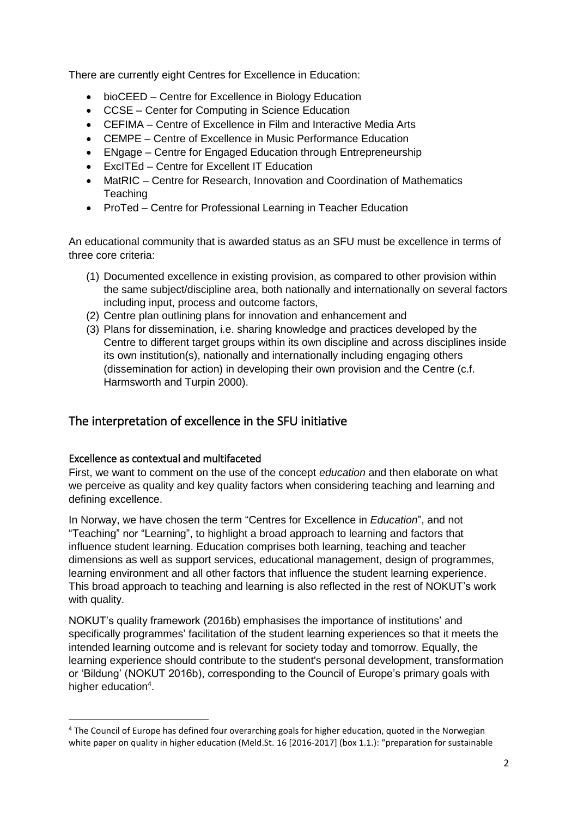There are currently eight Centres for Excellence in Education:

- bioCEED Centre for Excellence in Biology Education
- CCSE Center for Computing in Science Education
- CEFIMA Centre of Excellence in Film and Interactive Media Arts
- CEMPE Centre of Excellence in Music Performance Education
- ENgage Centre for Engaged Education through Entrepreneurship
- ExcITEd Centre for Excellent IT Education
- MatRIC Centre for Research, Innovation and Coordination of Mathematics **Teaching**
- ProTed Centre for Professional Learning in Teacher Education

An educational community that is awarded status as an SFU must be excellence in terms of three core criteria:

- (1) Documented excellence in existing provision, as compared to other provision within the same subject/discipline area, both nationally and internationally on several factors including input, process and outcome factors,
- (2) Centre plan outlining plans for innovation and enhancement and
- (3) Plans for dissemination, i.e. sharing knowledge and practices developed by the Centre to different target groups within its own discipline and across disciplines inside its own institution(s), nationally and internationally including engaging others (dissemination for action) in developing their own provision and the Centre (c.f. Harmsworth and Turpin 2000).

# The interpretation of excellence in the SFU initiative

#### Excellence as contextual and multifaceted

1

First, we want to comment on the use of the concept *education* and then elaborate on what we perceive as quality and key quality factors when considering teaching and learning and defining excellence.

In Norway, we have chosen the term "Centres for Excellence in *Education*", and not "Teaching" nor "Learning", to highlight a broad approach to learning and factors that influence student learning. Education comprises both learning, teaching and teacher dimensions as well as support services, educational management, design of programmes, learning environment and all other factors that influence the student learning experience. This broad approach to teaching and learning is also reflected in the rest of NOKUT's work with quality.

NOKUT's quality framework (2016b) emphasises the importance of institutions' and specifically programmes' facilitation of the student learning experiences so that it meets the intended learning outcome and is relevant for society today and tomorrow. Equally, the learning experience should contribute to the student's personal development, transformation or 'Bildung' (NOKUT 2016b), corresponding to the Council of Europe's primary goals with higher education<sup>4</sup>.

<sup>4</sup> The Council of Europe has defined four overarching goals for higher education, quoted in the Norwegian white paper on quality in higher education (Meld.St. 16 [2016-2017] (box 1.1.): "preparation for sustainable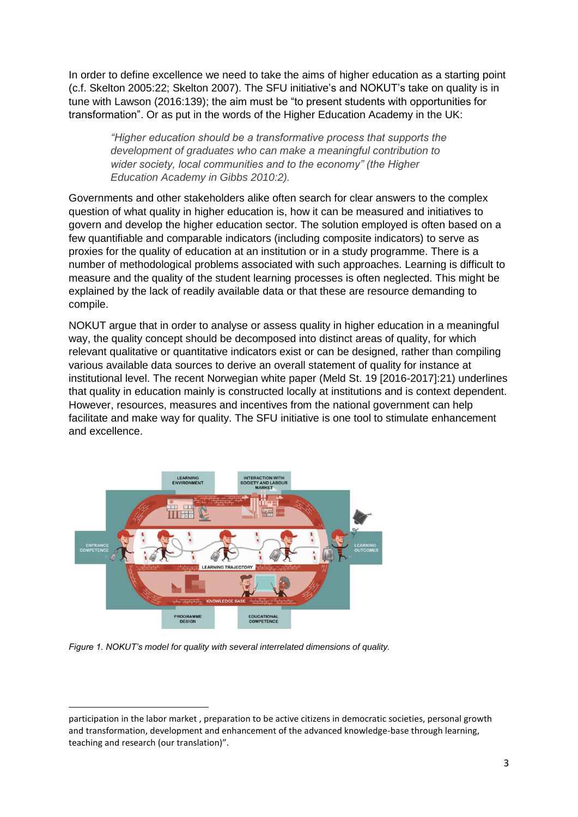In order to define excellence we need to take the aims of higher education as a starting point (c.f. Skelton 2005:22; Skelton 2007). The SFU initiative's and NOKUT's take on quality is in tune with Lawson (2016:139); the aim must be "to present students with opportunities for transformation". Or as put in the words of the Higher Education Academy in the UK:

*"Higher education should be a transformative process that supports the development of graduates who can make a meaningful contribution to wider society, local communities and to the economy" (the Higher Education Academy in Gibbs 2010:2).*

Governments and other stakeholders alike often search for clear answers to the complex question of what quality in higher education is, how it can be measured and initiatives to govern and develop the higher education sector. The solution employed is often based on a few quantifiable and comparable indicators (including composite indicators) to serve as proxies for the quality of education at an institution or in a study programme. There is a number of methodological problems associated with such approaches. Learning is difficult to measure and the quality of the student learning processes is often neglected. This might be explained by the lack of readily available data or that these are resource demanding to compile.

NOKUT argue that in order to analyse or assess quality in higher education in a meaningful way, the quality concept should be decomposed into distinct areas of quality, for which relevant qualitative or quantitative indicators exist or can be designed, rather than compiling various available data sources to derive an overall statement of quality for instance at institutional level. The recent Norwegian white paper (Meld St. 19 [2016-2017]:21) underlines that quality in education mainly is constructed locally at institutions and is context dependent. However, resources, measures and incentives from the national government can help facilitate and make way for quality. The SFU initiative is one tool to stimulate enhancement and excellence.



*Figure 1. NOKUT's model for quality with several interrelated dimensions of quality.*

**.** 

participation in the labor market , preparation to be active citizens in democratic societies, personal growth and transformation, development and enhancement of the advanced knowledge-base through learning, teaching and research (our translation)".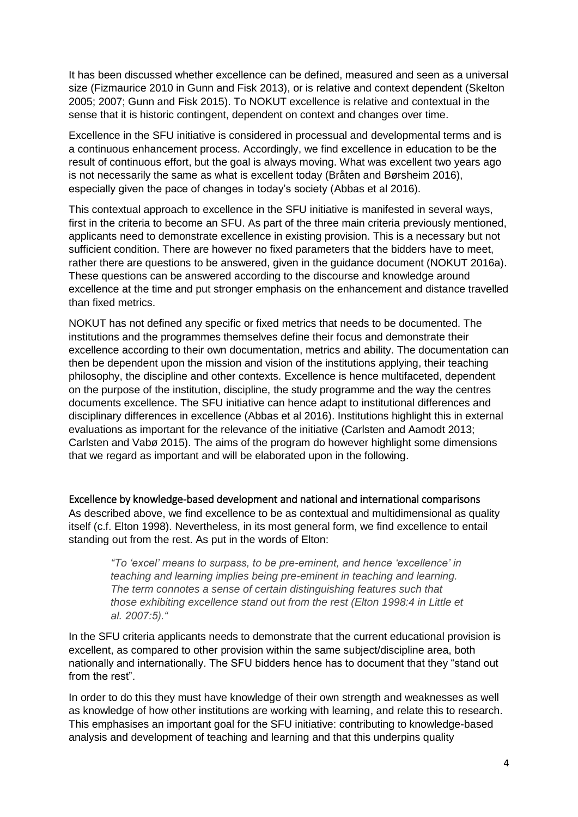It has been discussed whether excellence can be defined, measured and seen as a universal size (Fizmaurice 2010 in Gunn and Fisk 2013), or is relative and context dependent (Skelton 2005; 2007; Gunn and Fisk 2015). To NOKUT excellence is relative and contextual in the sense that it is historic contingent, dependent on context and changes over time.

Excellence in the SFU initiative is considered in processual and developmental terms and is a continuous enhancement process. Accordingly, we find excellence in education to be the result of continuous effort, but the goal is always moving. What was excellent two years ago is not necessarily the same as what is excellent today (Bråten and Børsheim 2016), especially given the pace of changes in today's society (Abbas et al 2016).

This contextual approach to excellence in the SFU initiative is manifested in several ways, first in the criteria to become an SFU. As part of the three main criteria previously mentioned, applicants need to demonstrate excellence in existing provision. This is a necessary but not sufficient condition. There are however no fixed parameters that the bidders have to meet, rather there are questions to be answered, given in the guidance document (NOKUT 2016a). These questions can be answered according to the discourse and knowledge around excellence at the time and put stronger emphasis on the enhancement and distance travelled than fixed metrics.

NOKUT has not defined any specific or fixed metrics that needs to be documented. The institutions and the programmes themselves define their focus and demonstrate their excellence according to their own documentation, metrics and ability. The documentation can then be dependent upon the mission and vision of the institutions applying, their teaching philosophy, the discipline and other contexts. Excellence is hence multifaceted, dependent on the purpose of the institution, discipline, the study programme and the way the centres documents excellence. The SFU initiative can hence adapt to institutional differences and disciplinary differences in excellence (Abbas et al 2016). Institutions highlight this in external evaluations as important for the relevance of the initiative (Carlsten and Aamodt 2013; Carlsten and Vabø 2015). The aims of the program do however highlight some dimensions that we regard as important and will be elaborated upon in the following.

Excellence by knowledge-based development and national and international comparisons As described above, we find excellence to be as contextual and multidimensional as quality itself (c.f. Elton 1998). Nevertheless, in its most general form, we find excellence to entail standing out from the rest. As put in the words of Elton:

*"To 'excel' means to surpass, to be pre-eminent, and hence 'excellence' in teaching and learning implies being pre-eminent in teaching and learning. The term connotes a sense of certain distinguishing features such that those exhibiting excellence stand out from the rest (Elton 1998:4 in Little et al. 2007:5)."*

In the SFU criteria applicants needs to demonstrate that the current educational provision is excellent, as compared to other provision within the same subject/discipline area, both nationally and internationally. The SFU bidders hence has to document that they "stand out from the rest".

In order to do this they must have knowledge of their own strength and weaknesses as well as knowledge of how other institutions are working with learning, and relate this to research. This emphasises an important goal for the SFU initiative: contributing to knowledge-based analysis and development of teaching and learning and that this underpins quality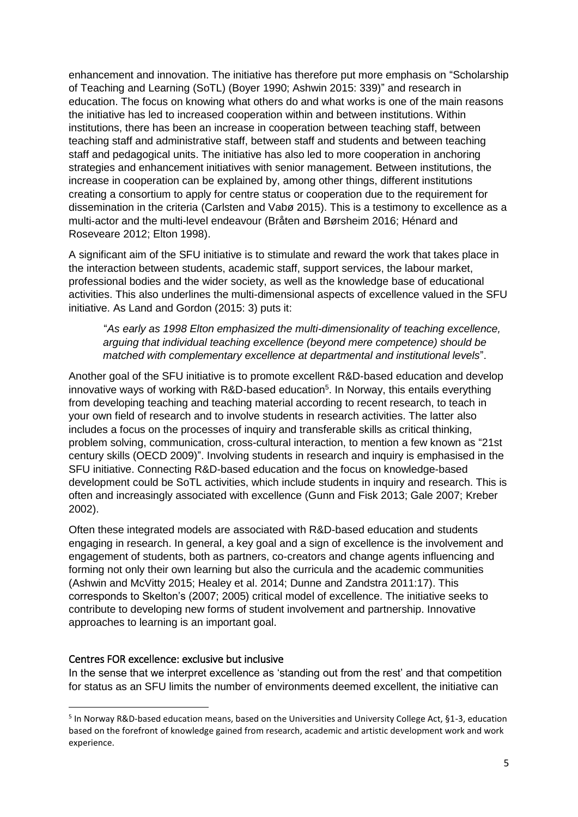enhancement and innovation. The initiative has therefore put more emphasis on "Scholarship of Teaching and Learning (SoTL) (Boyer 1990; Ashwin 2015: 339)" and research in education. The focus on knowing what others do and what works is one of the main reasons the initiative has led to increased cooperation within and between institutions. Within institutions, there has been an increase in cooperation between teaching staff, between teaching staff and administrative staff, between staff and students and between teaching staff and pedagogical units. The initiative has also led to more cooperation in anchoring strategies and enhancement initiatives with senior management. Between institutions, the increase in cooperation can be explained by, among other things, different institutions creating a consortium to apply for centre status or cooperation due to the requirement for dissemination in the criteria (Carlsten and Vabø 2015). This is a testimony to excellence as a multi-actor and the multi-level endeavour (Bråten and Børsheim 2016; Hénard and Roseveare 2012; Elton 1998).

A significant aim of the SFU initiative is to stimulate and reward the work that takes place in the interaction between students, academic staff, support services, the labour market, professional bodies and the wider society, as well as the knowledge base of educational activities. This also underlines the multi-dimensional aspects of excellence valued in the SFU initiative. As Land and Gordon (2015: 3) puts it:

"*As early as 1998 Elton emphasized the multi-dimensionality of teaching excellence, arguing that individual teaching excellence (beyond mere competence) should be matched with complementary excellence at departmental and institutional levels*".

Another goal of the SFU initiative is to promote excellent R&D-based education and develop innovative ways of working with R&D-based education<sup>5</sup>. In Norway, this entails everything from developing teaching and teaching material according to recent research, to teach in your own field of research and to involve students in research activities. The latter also includes a focus on the processes of inquiry and transferable skills as critical thinking, problem solving, communication, cross-cultural interaction, to mention a few known as "21st century skills (OECD 2009)". Involving students in research and inquiry is emphasised in the SFU initiative. Connecting R&D-based education and the focus on knowledge-based development could be SoTL activities, which include students in inquiry and research. This is often and increasingly associated with excellence (Gunn and Fisk 2013; Gale 2007; Kreber 2002).

Often these integrated models are associated with R&D-based education and students engaging in research. In general, a key goal and a sign of excellence is the involvement and engagement of students, both as partners, co-creators and change agents influencing and forming not only their own learning but also the curricula and the academic communities (Ashwin and McVitty 2015; Healey et al. 2014; Dunne and Zandstra 2011:17). This corresponds to Skelton's (2007; 2005) critical model of excellence. The initiative seeks to contribute to developing new forms of student involvement and partnership. Innovative approaches to learning is an important goal.

#### Centres FOR excellence: exclusive but inclusive

**.** 

In the sense that we interpret excellence as 'standing out from the rest' and that competition for status as an SFU limits the number of environments deemed excellent, the initiative can

<sup>&</sup>lt;sup>5</sup> In Norway R&D-based education means, based on the Universities and University College Act, §1-3, education based on the forefront of knowledge gained from research, academic and artistic development work and work experience.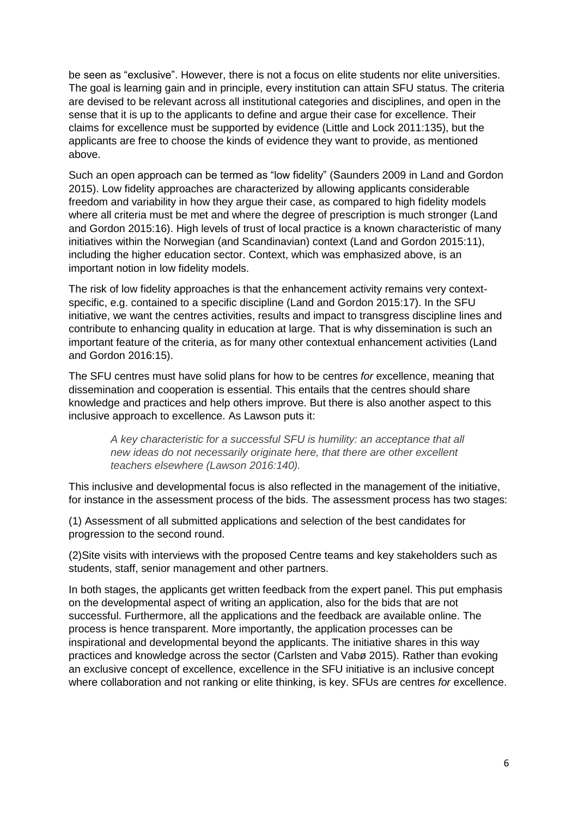be seen as "exclusive". However, there is not a focus on elite students nor elite universities. The goal is learning gain and in principle, every institution can attain SFU status. The criteria are devised to be relevant across all institutional categories and disciplines, and open in the sense that it is up to the applicants to define and argue their case for excellence. Their claims for excellence must be supported by evidence (Little and Lock 2011:135), but the applicants are free to choose the kinds of evidence they want to provide, as mentioned above.

Such an open approach can be termed as "low fidelity" (Saunders 2009 in Land and Gordon 2015). Low fidelity approaches are characterized by allowing applicants considerable freedom and variability in how they argue their case, as compared to high fidelity models where all criteria must be met and where the degree of prescription is much stronger (Land and Gordon 2015:16). High levels of trust of local practice is a known characteristic of many initiatives within the Norwegian (and Scandinavian) context (Land and Gordon 2015:11), including the higher education sector. Context, which was emphasized above, is an important notion in low fidelity models.

The risk of low fidelity approaches is that the enhancement activity remains very contextspecific, e.g. contained to a specific discipline (Land and Gordon 2015:17). In the SFU initiative, we want the centres activities, results and impact to transgress discipline lines and contribute to enhancing quality in education at large. That is why dissemination is such an important feature of the criteria, as for many other contextual enhancement activities (Land and Gordon 2016:15).

The SFU centres must have solid plans for how to be centres *for* excellence, meaning that dissemination and cooperation is essential. This entails that the centres should share knowledge and practices and help others improve. But there is also another aspect to this inclusive approach to excellence. As Lawson puts it:

*A key characteristic for a successful SFU is humility: an acceptance that all new ideas do not necessarily originate here, that there are other excellent teachers elsewhere (Lawson 2016:140).*

This inclusive and developmental focus is also reflected in the management of the initiative, for instance in the assessment process of the bids. The assessment process has two stages:

(1) Assessment of all submitted applications and selection of the best candidates for progression to the second round.

(2)Site visits with interviews with the proposed Centre teams and key stakeholders such as students, staff, senior management and other partners.

In both stages, the applicants get written feedback from the expert panel. This put emphasis on the developmental aspect of writing an application, also for the bids that are not successful. Furthermore, all the applications and the feedback are available online. The process is hence transparent. More importantly, the application processes can be inspirational and developmental beyond the applicants. The initiative shares in this way practices and knowledge across the sector (Carlsten and Vabø 2015). Rather than evoking an exclusive concept of excellence, excellence in the SFU initiative is an inclusive concept where collaboration and not ranking or elite thinking, is key. SFUs are centres *for* excellence.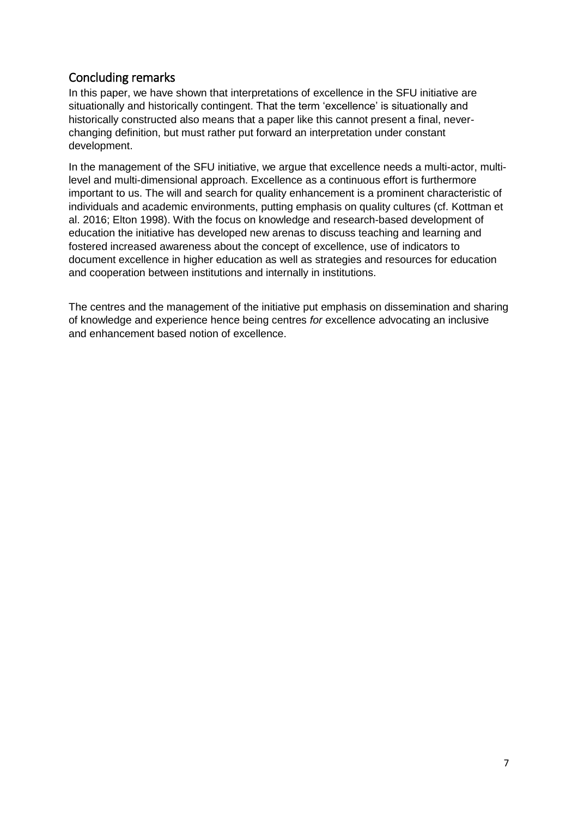# Concluding remarks

In this paper, we have shown that interpretations of excellence in the SFU initiative are situationally and historically contingent. That the term 'excellence' is situationally and historically constructed also means that a paper like this cannot present a final, neverchanging definition, but must rather put forward an interpretation under constant development.

In the management of the SFU initiative, we argue that excellence needs a multi-actor, multilevel and multi-dimensional approach. Excellence as a continuous effort is furthermore important to us. The will and search for quality enhancement is a prominent characteristic of individuals and academic environments, putting emphasis on quality cultures (cf. Kottman et al. 2016; Elton 1998). With the focus on knowledge and research-based development of education the initiative has developed new arenas to discuss teaching and learning and fostered increased awareness about the concept of excellence, use of indicators to document excellence in higher education as well as strategies and resources for education and cooperation between institutions and internally in institutions.

The centres and the management of the initiative put emphasis on dissemination and sharing of knowledge and experience hence being centres *for* excellence advocating an inclusive and enhancement based notion of excellence.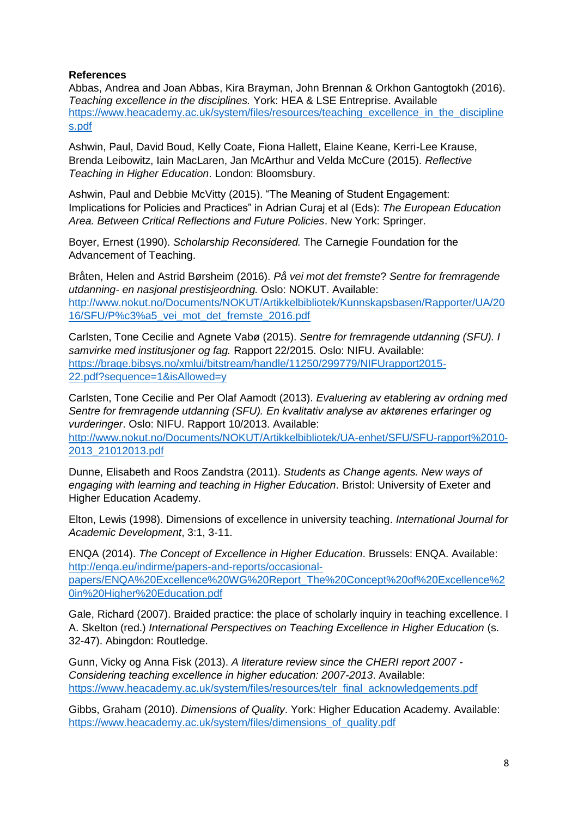## **References**

Abbas, Andrea and Joan Abbas, Kira Brayman, John Brennan & Orkhon Gantogtokh (2016). *Teaching excellence in the disciplines.* York: HEA & LSE Entreprise. Available [https://www.heacademy.ac.uk/system/files/resources/teaching\\_excellence\\_in\\_the\\_discipline](https://www.heacademy.ac.uk/system/files/resources/teaching_excellence_in_the_disciplines.pdf) [s.pdf](https://www.heacademy.ac.uk/system/files/resources/teaching_excellence_in_the_disciplines.pdf)

Ashwin, Paul, David Boud, Kelly Coate, Fiona Hallett, Elaine Keane, Kerri-Lee Krause, Brenda Leibowitz, Iain MacLaren, Jan McArthur and Velda McCure (2015). *Reflective Teaching in Higher Education*. London: Bloomsbury.

Ashwin, Paul and Debbie McVitty (2015). "The Meaning of Student Engagement: Implications for Policies and Practices" in Adrian Curaj et al (Eds): *The European Education Area. Between Critical Reflections and Future Policies*. New York: Springer.

Boyer, Ernest (1990). *Scholarship Reconsidered.* The Carnegie Foundation for the Advancement of Teaching.

Bråten, Helen and Astrid Børsheim (2016). *På vei mot det fremste*? *Sentre for fremragende utdanning- en nasjonal prestisjeordning.* Oslo: NOKUT. Available: [http://www.nokut.no/Documents/NOKUT/Artikkelbibliotek/Kunnskapsbasen/Rapporter/UA/20](http://www.nokut.no/Documents/NOKUT/Artikkelbibliotek/Kunnskapsbasen/Rapporter/UA/2016/SFU/P%c3%a5_vei_mot_det_fremste_2016.pdf) [16/SFU/P%c3%a5\\_vei\\_mot\\_det\\_fremste\\_2016.pdf](http://www.nokut.no/Documents/NOKUT/Artikkelbibliotek/Kunnskapsbasen/Rapporter/UA/2016/SFU/P%c3%a5_vei_mot_det_fremste_2016.pdf)

Carlsten, Tone Cecilie and Agnete Vabø (2015). *Sentre for fremragende utdanning (SFU). I samvirke med institusjoner og fag.* Rapport 22/2015. Oslo: NIFU. Available: [https://brage.bibsys.no/xmlui/bitstream/handle/11250/299779/NIFUrapport2015-](https://brage.bibsys.no/xmlui/bitstream/handle/11250/299779/NIFUrapport2015-22.pdf?sequence=1&isAllowed=y) [22.pdf?sequence=1&isAllowed=y](https://brage.bibsys.no/xmlui/bitstream/handle/11250/299779/NIFUrapport2015-22.pdf?sequence=1&isAllowed=y)

Carlsten, Tone Cecilie and Per Olaf Aamodt (2013). *Evaluering av etablering av ordning med Sentre for fremragende utdanning (SFU). En kvalitativ analyse av aktørenes erfaringer og vurderinger*. Oslo: NIFU. Rapport 10/2013. Available:

[http://www.nokut.no/Documents/NOKUT/Artikkelbibliotek/UA-enhet/SFU/SFU-rapport%2010-](http://www.nokut.no/Documents/NOKUT/Artikkelbibliotek/UA-enhet/SFU/SFU-rapport%2010-2013_21012013.pdf) [2013\\_21012013.pdf](http://www.nokut.no/Documents/NOKUT/Artikkelbibliotek/UA-enhet/SFU/SFU-rapport%2010-2013_21012013.pdf)

Dunne, Elisabeth and Roos Zandstra (2011). *Students as Change agents. New ways of engaging with learning and teaching in Higher Education*. Bristol: University of Exeter and Higher Education Academy.

Elton, Lewis (1998). Dimensions of excellence in university teaching. *International Journal for Academic Development*, 3:1, 3-11.

ENQA (2014). *The Concept of Excellence in Higher Education*. Brussels: ENQA. Available: [http://enqa.eu/indirme/papers-and-reports/occasional](http://enqa.eu/indirme/papers-and-reports/occasional-papers/ENQA%20Excellence%20WG%20Report_The%20Concept%20of%20Excellence%20in%20Higher%20Education.pdf)[papers/ENQA%20Excellence%20WG%20Report\\_The%20Concept%20of%20Excellence%2](http://enqa.eu/indirme/papers-and-reports/occasional-papers/ENQA%20Excellence%20WG%20Report_The%20Concept%20of%20Excellence%20in%20Higher%20Education.pdf) [0in%20Higher%20Education.pdf](http://enqa.eu/indirme/papers-and-reports/occasional-papers/ENQA%20Excellence%20WG%20Report_The%20Concept%20of%20Excellence%20in%20Higher%20Education.pdf)

Gale, Richard (2007). Braided practice: the place of scholarly inquiry in teaching excellence. I A. Skelton (red.) *International Perspectives on Teaching Excellence in Higher Education* (s. 32-47). Abingdon: Routledge.

Gunn, Vicky og Anna Fisk (2013). *A literature review since the CHERI report 2007 - Considering teaching excellence in higher education: 2007-2013*. Available: [https://www.heacademy.ac.uk/system/files/resources/telr\\_final\\_acknowledgements.pdf](https://www.heacademy.ac.uk/system/files/resources/telr_final_acknowledgements.pdf)

Gibbs, Graham (2010). *Dimensions of Quality*. York: Higher Education Academy. Available: [https://www.heacademy.ac.uk/system/files/dimensions\\_of\\_quality.pdf](https://www.heacademy.ac.uk/system/files/dimensions_of_quality.pdf)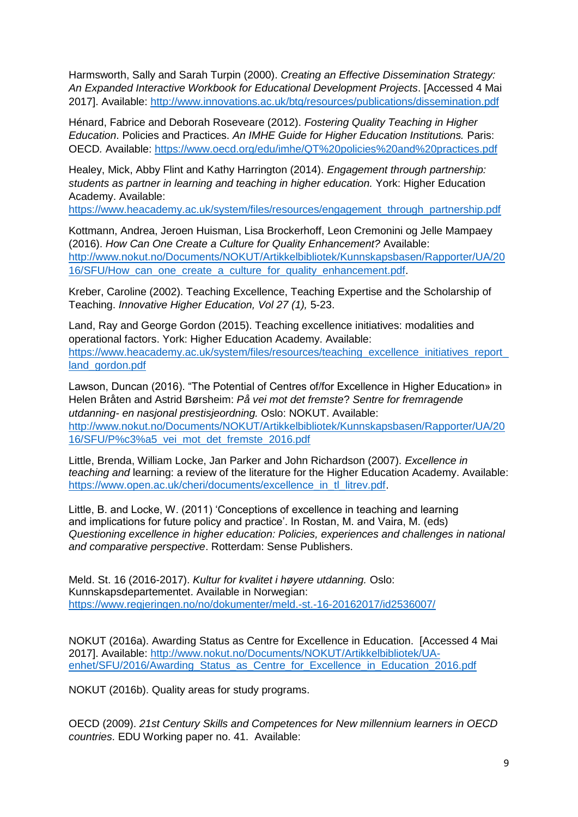Harmsworth, Sally and Sarah Turpin (2000). *Creating an Effective Dissemination Strategy: An Expanded Interactive Workbook for Educational Development Projects*. [Accessed 4 Mai 2017]. Available:<http://www.innovations.ac.uk/btg/resources/publications/dissemination.pdf>

Hénard, Fabrice and Deborah Roseveare (2012). *Fostering Quality Teaching in Higher Education*. Policies and Practices. *An IMHE Guide for Higher Education Institutions.* Paris: OECD*.* Available:<https://www.oecd.org/edu/imhe/QT%20policies%20and%20practices.pdf>

Healey, Mick, Abby Flint and Kathy Harrington (2014). *Engagement through partnership: students as partner in learning and teaching in higher education.* York: Higher Education Academy. Available:

[https://www.heacademy.ac.uk/system/files/resources/engagement\\_through\\_partnership.pdf](https://www.heacademy.ac.uk/system/files/resources/engagement_through_partnership.pdf)

Kottmann, Andrea, Jeroen Huisman, Lisa Brockerhoff, Leon Cremonini og Jelle Mampaey (2016). *How Can One Create a Culture for Quality Enhancement?* Available: [http://www.nokut.no/Documents/NOKUT/Artikkelbibliotek/Kunnskapsbasen/Rapporter/UA/20](http://www.nokut.no/Documents/NOKUT/Artikkelbibliotek/Kunnskapsbasen/Rapporter/UA/2016/SFU/How_can_one_create_a_culture_for_quality_enhancement.pdf) [16/SFU/How\\_can\\_one\\_create\\_a\\_culture\\_for\\_quality\\_enhancement.pdf.](http://www.nokut.no/Documents/NOKUT/Artikkelbibliotek/Kunnskapsbasen/Rapporter/UA/2016/SFU/How_can_one_create_a_culture_for_quality_enhancement.pdf)

Kreber, Caroline (2002). Teaching Excellence, Teaching Expertise and the Scholarship of Teaching. *Innovative Higher Education, Vol 27 (1),* 5-23.

Land, Ray and George Gordon (2015). Teaching excellence initiatives: modalities and operational factors. York: Higher Education Academy. Available: https://www.heacademy.ac.uk/system/files/resources/teaching\_excellence\_initiatives\_report [land\\_gordon.pdf](https://www.heacademy.ac.uk/system/files/resources/teaching_excellence_initiatives_report_land_gordon.pdf)

Lawson, Duncan (2016). "The Potential of Centres of/for Excellence in Higher Education» in Helen Bråten and Astrid Børsheim: *På vei mot det fremste*? *Sentre for fremragende utdanning- en nasjonal prestisjeordning.* Oslo: NOKUT. Available: [http://www.nokut.no/Documents/NOKUT/Artikkelbibliotek/Kunnskapsbasen/Rapporter/UA/20](http://www.nokut.no/Documents/NOKUT/Artikkelbibliotek/Kunnskapsbasen/Rapporter/UA/2016/SFU/P%c3%a5_vei_mot_det_fremste_2016.pdf) [16/SFU/P%c3%a5\\_vei\\_mot\\_det\\_fremste\\_2016.pdf](http://www.nokut.no/Documents/NOKUT/Artikkelbibliotek/Kunnskapsbasen/Rapporter/UA/2016/SFU/P%c3%a5_vei_mot_det_fremste_2016.pdf)

Little, Brenda, William Locke, Jan Parker and John Richardson (2007). *Excellence in teaching and* learning: a review of the literature for the Higher Education Academy. Available: [https://www.open.ac.uk/cheri/documents/excellence\\_in\\_tl\\_litrev.pdf.](https://www.open.ac.uk/cheri/documents/excellence_in_tl_litrev.pdf)

Little, B. and Locke, W. (2011) 'Conceptions of excellence in teaching and learning and implications for future policy and practice'. In Rostan, M. and Vaira, M. (eds) *Questioning excellence in higher education: Policies, experiences and challenges in national and comparative perspective*. Rotterdam: Sense Publishers.

Meld. St. 16 (2016-2017). *Kultur for kvalitet i høyere utdanning.* Oslo: Kunnskapsdepartementet. Available in Norwegian: <https://www.regjeringen.no/no/dokumenter/meld.-st.-16-20162017/id2536007/>

NOKUT (2016a). Awarding Status as Centre for Excellence in Education. [Accessed 4 Mai 2017]. Available: [http://www.nokut.no/Documents/NOKUT/Artikkelbibliotek/UA](http://www.nokut.no/Documents/NOKUT/Artikkelbibliotek/UA-enhet/SFU/2016/Awarding_Status_as_Centre_for_Excellence_in_Education_2016.pdf)[enhet/SFU/2016/Awarding\\_Status\\_as\\_Centre\\_for\\_Excellence\\_in\\_Education\\_2016.pdf](http://www.nokut.no/Documents/NOKUT/Artikkelbibliotek/UA-enhet/SFU/2016/Awarding_Status_as_Centre_for_Excellence_in_Education_2016.pdf)

NOKUT (2016b). Quality areas for study programs.

OECD (2009). *21st Century Skills and Competences for New millennium learners in OECD countries*. EDU Working paper no. 41. Available: